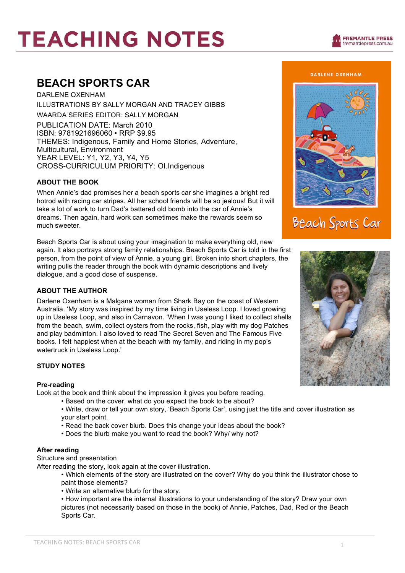# **TEACHING NOTES**

### **BEACH SPORTS CAR**

DARLENE OXENHAM ILLUSTRATIONS BY SALLY MORGAN AND TRACEY GIBBS WAARDA SERIES EDITOR: SALLY MORGAN PUBLICATION DATE: March 2010 ISBN: 9781921696060 • RRP \$9.95 THEMES: Indigenous, Family and Home Stories, Adventure, Multicultural, Environment YEAR LEVEL: Y1, Y2, Y3, Y4, Y5 CROSS-CURRICULUM PRIORITY: OI.Indigenous

### **ABOUT THE BOOK**

When Annie's dad promises her a beach sports car she imagines a bright red hotrod with racing car stripes. All her school friends will be so jealous! But it will take a lot of work to turn Dad's battered old bomb into the car of Annie's dreams. Then again, hard work can sometimes make the rewards seem so much sweeter.

Beach Sports Car is about using your imagination to make everything old, new again. It also portrays strong family relationships. Beach Sports Car is told in the first person, from the point of view of Annie, a young girl. Broken into short chapters, the writing pulls the reader through the book with dynamic descriptions and lively dialogue, and a good dose of suspense.

### **ABOUT THE AUTHOR**

Darlene Oxenham is a Malgana woman from Shark Bay on the coast of Western Australia. 'My story was inspired by my time living in Useless Loop. I loved growing up in Useless Loop, and also in Carnavon. 'When I was young I liked to collect shells from the beach, swim, collect oysters from the rocks, fish, play with my dog Patches and play badminton. I also loved to read The Secret Seven and The Famous Five books. I felt happiest when at the beach with my family, and riding in my pop's watertruck in Useless Loop.'

### **STUDY NOTES**

### **Pre-reading**

Look at the book and think about the impression it gives you before reading.

- Based on the cover, what do you expect the book to be about?
	- Write, draw or tell your own story, 'Beach Sports Car', using just the title and cover illustration as your start point.
	- Read the back cover blurb. Does this change your ideas about the book?
	- Does the blurb make you want to read the book? Why/ why not?

### **After reading**

Structure and presentation

After reading the story, look again at the cover illustration.

- Which elements of the story are illustrated on the cover? Why do you think the illustrator chose to paint those elements?
- Write an alternative blurb for the story.

• How important are the internal illustrations to your understanding of the story? Draw your own pictures (not necessarily based on those in the book) of Annie, Patches, Dad, Red or the Beach Sports Car.





## **Beach Sports Car**

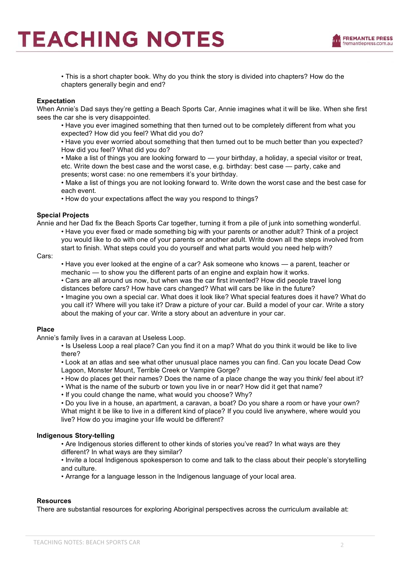• This is a short chapter book. Why do you think the story is divided into chapters? How do the chapters generally begin and end?

### **Expectation**

When Annie's Dad says they're getting a Beach Sports Car, Annie imagines what it will be like. When she first sees the car she is very disappointed.

• Have you ever imagined something that then turned out to be completely different from what you expected? How did you feel? What did you do?

• Have you ever worried about something that then turned out to be much better than you expected? How did you feel? What did you do?

• Make a list of things you are looking forward to — your birthday, a holiday, a special visitor or treat, etc. Write down the best case and the worst case, e.g. birthday: best case — party, cake and presents; worst case: no one remembers it's your birthday.

• Make a list of things you are not looking forward to. Write down the worst case and the best case for each event.

• How do your expectations affect the way you respond to things?

### **Special Projects**

Annie and her Dad fix the Beach Sports Car together, turning it from a pile of junk into something wonderful.

• Have you ever fixed or made something big with your parents or another adult? Think of a project you would like to do with one of your parents or another adult. Write down all the steps involved from start to finish. What steps could you do yourself and what parts would you need help with?

Cars:

• Have you ever looked at the engine of a car? Ask someone who knows — a parent, teacher or mechanic — to show you the different parts of an engine and explain how it works.

• Cars are all around us now, but when was the car first invented? How did people travel long distances before cars? How have cars changed? What will cars be like in the future?

• Imagine you own a special car. What does it look like? What special features does it have? What do you call it? Where will you take it? Draw a picture of your car. Build a model of your car. Write a story about the making of your car. Write a story about an adventure in your car.

### **Place**

Annie's family lives in a caravan at Useless Loop.

• Is Useless Loop a real place? Can you find it on a map? What do you think it would be like to live there?

• Look at an atlas and see what other unusual place names you can find. Can you locate Dead Cow Lagoon, Monster Mount, Terrible Creek or Vampire Gorge?

• How do places get their names? Does the name of a place change the way you think/ feel about it?

• What is the name of the suburb or town you live in or near? How did it get that name?

• If you could change the name, what would you choose? Why?

• Do you live in a house, an apartment, a caravan, a boat? Do you share a room or have your own? What might it be like to live in a different kind of place? If you could live anywhere, where would you live? How do you imagine your life would be different?

### **Indigenous Story-telling**

• Are Indigenous stories different to other kinds of stories you've read? In what ways are they different? In what ways are they similar?

• Invite a local Indigenous spokesperson to come and talk to the class about their people's storytelling and culture.

• Arrange for a language lesson in the Indigenous language of your local area.

### **Resources**

There are substantial resources for exploring Aboriginal perspectives across the curriculum available at: